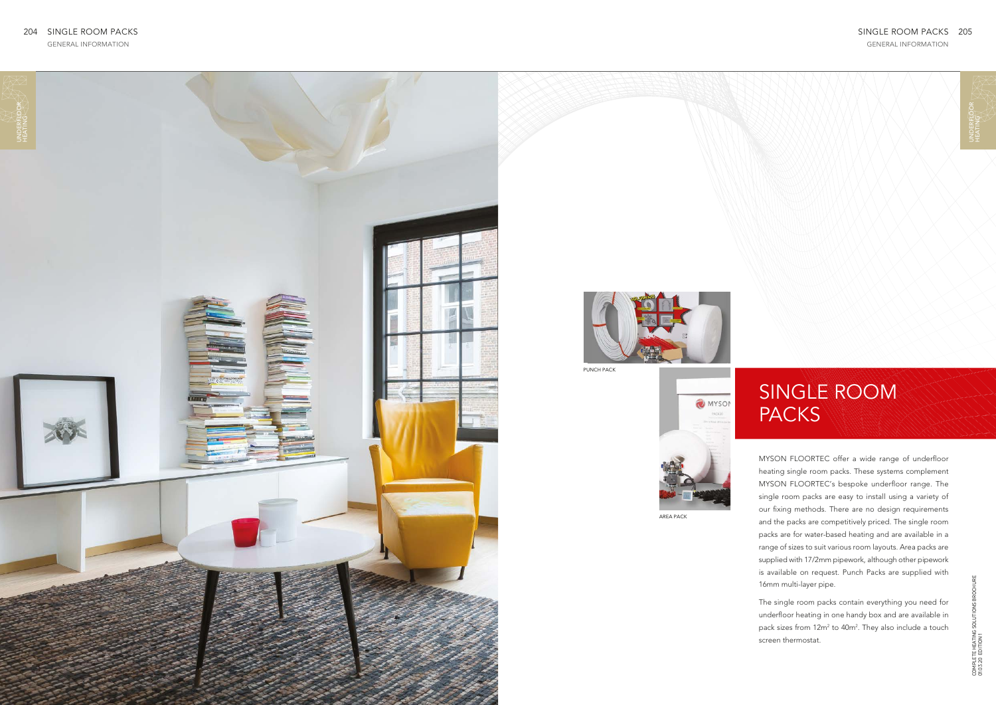GENERAL INFORMATION

MYSON FLOORTEC offer a wide range of underfloor heating single room packs. These systems complement MYSON FLOORTEC's bespoke underfloor range. The single room packs are easy to install using a variety of our fixing methods. There are no design requirements and the packs are competitively priced. The single room packs are for water-based heating and are available in a range of sizes to suit various room layouts. Area packs are supplied with 17/2mm pipework, although other pipework is available on request. Punch Packs are supplied with 16mm multi-layer pipe.

The single room packs contain everything you need for underfloor heating in one handy box and are available in pack sizes from 12m<sup>2</sup> to 40m<sup>2</sup>. They also include a touch screen thermostat.

## SINGLE ROOM PACKS



## SINGLE ROOM PACKS 205

UNDERFLO<br>HEATING